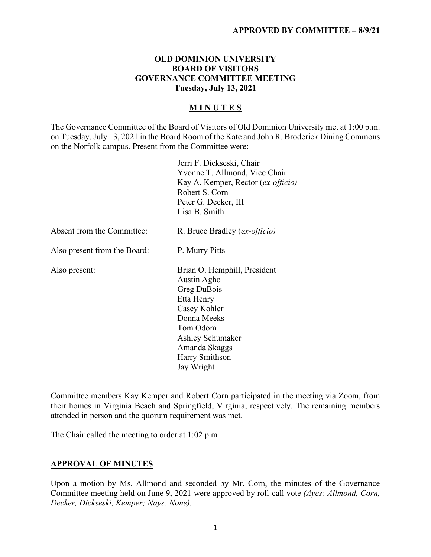#### **OLD DOMINION UNIVERSITY BOARD OF VISITORS GOVERNANCE COMMITTEE MEETING Tuesday, July 13, 2021**

#### **M I N U T E S**

The Governance Committee of the Board of Visitors of Old Dominion University met at 1:00 p.m. on Tuesday, July 13, 2021 in the Board Room of the Kate and John R. Broderick Dining Commons on the Norfolk campus. Present from the Committee were:

|                              | Jerri F. Dickseski, Chair<br>Yvonne T. Allmond, Vice Chair |
|------------------------------|------------------------------------------------------------|
|                              | Kay A. Kemper, Rector (ex-officio)                         |
|                              | Robert S. Corn                                             |
|                              | Peter G. Decker, III                                       |
|                              | Lisa B. Smith                                              |
| Absent from the Committee:   | R. Bruce Bradley (ex-officio)                              |
| Also present from the Board: | P. Murry Pitts                                             |
| Also present:                | Brian O. Hemphill, President                               |
|                              | Austin Agho                                                |
|                              | Greg DuBois                                                |
|                              | Etta Henry                                                 |
|                              | Casey Kohler                                               |
|                              | Donna Meeks                                                |
|                              | Tom Odom                                                   |
|                              | Ashley Schumaker                                           |
|                              | Amanda Skaggs                                              |
|                              | Harry Smithson                                             |
|                              | Jay Wright                                                 |

Committee members Kay Kemper and Robert Corn participated in the meeting via Zoom, from their homes in Virginia Beach and Springfield, Virginia, respectively. The remaining members attended in person and the quorum requirement was met.

The Chair called the meeting to order at 1:02 p.m

## **APPROVAL OF MINUTES**

Upon a motion by Ms. Allmond and seconded by Mr. Corn, the minutes of the Governance Committee meeting held on June 9, 2021 were approved by roll-call vote *(Ayes: Allmond, Corn, Decker, Dickseski, Kemper; Nays: None).*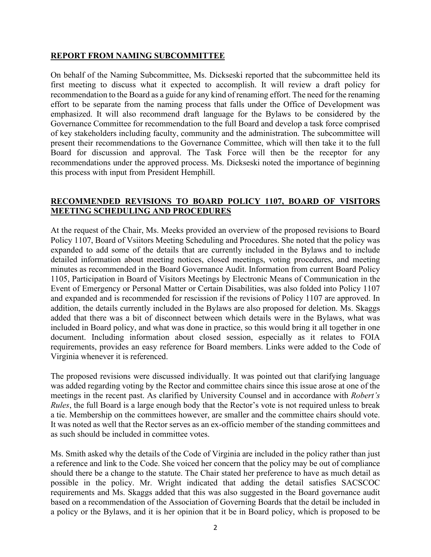#### **REPORT FROM NAMING SUBCOMMITTEE**

On behalf of the Naming Subcommittee, Ms. Dickseski reported that the subcommittee held its first meeting to discuss what it expected to accomplish. It will review a draft policy for recommendation to the Board as a guide for any kind of renaming effort. The need for the renaming effort to be separate from the naming process that falls under the Office of Development was emphasized. It will also recommend draft language for the Bylaws to be considered by the Governance Committee for recommendation to the full Board and develop a task force comprised of key stakeholders including faculty, community and the administration. The subcommittee will present their recommendations to the Governance Committee, which will then take it to the full Board for discussion and approval. The Task Force will then be the receptor for any recommendations under the approved process. Ms. Dickseski noted the importance of beginning this process with input from President Hemphill.

#### **RECOMMENDED REVISIONS TO BOARD POLICY 1107, BOARD OF VISITORS MEETING SCHEDULING AND PROCEDURES**

At the request of the Chair, Ms. Meeks provided an overview of the proposed revisions to Board Policy 1107, Board of Vsiitors Meeting Scheduling and Procedures. She noted that the policy was expanded to add some of the details that are currently included in the Bylaws and to include detailed information about meeting notices, closed meetings, voting procedures, and meeting minutes as recommended in the Board Governance Audit. Information from current Board Policy 1105, Participation in Board of Visitors Meetings by Electronic Means of Communication in the Event of Emergency or Personal Matter or Certain Disabilities, was also folded into Policy 1107 and expanded and is recommended for rescission if the revisions of Policy 1107 are approved. In addition, the details currently included in the Bylaws are also proposed for deletion. Ms. Skaggs added that there was a bit of disconnect between which details were in the Bylaws, what was included in Board policy, and what was done in practice, so this would bring it all together in one document. Including information about closed session, especially as it relates to FOIA requirements, provides an easy reference for Board members. Links were added to the Code of Virginia whenever it is referenced.

The proposed revisions were discussed individually. It was pointed out that clarifying language was added regarding voting by the Rector and committee chairs since this issue arose at one of the meetings in the recent past. As clarified by University Counsel and in accordance with *Robert's Rules*, the full Board is a large enough body that the Rector's vote is not required unless to break a tie. Membership on the committees however, are smaller and the committee chairs should vote. It was noted as well that the Rector serves as an ex-officio member of the standing committees and as such should be included in committee votes.

Ms. Smith asked why the details of the Code of Virginia are included in the policy rather than just a reference and link to the Code. She voiced her concern that the policy may be out of compliance should there be a change to the statute. The Chair stated her preference to have as much detail as possible in the policy. Mr. Wright indicated that adding the detail satisfies SACSCOC requirements and Ms. Skaggs added that this was also suggested in the Board governance audit based on a recommendation of the Association of Governing Boards that the detail be included in a policy or the Bylaws, and it is her opinion that it be in Board policy, which is proposed to be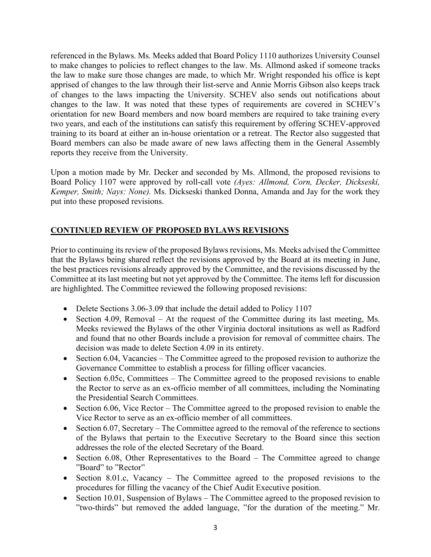referenced in the Bylaws. Ms. Meeks added that Board Policy 1110 authorizes University Counsel to make changes to policies to reflect changes to the law. Ms. Allmond asked if someone tracks the law to make sure those changes are made, to which Mr. Wright responded his office is kept apprised of changes to the law through their list-serve and Annie Morris Gibson also keeps track of changes to the laws impacting the University. SCHEV also sends out notifications about changes to the law. It was noted that these types of requirements are covered in SCHEV's orientation for new Board members and now board members are required to take training every two years, and each of the institutions can satisfy this requirement by offering SCHEV-approved training to its board at either an in-house orientation or a retreat. The Rector also suggested that Board members can also be made aware of new laws affecting them in the General Assembly reports they receive from the University.

Upon a motion made by Mr. Decker and seconded by Ms. Allmond, the proposed revisions to Board Policy 1107 were approved by roll-call vote *(Ayes: Allmond, Corn, Decker, Dickseski, Kemper, Smith; Nays: None).* Ms. Dickseski thanked Donna, Amanda and Jay for the work they put into these proposed revisions.

# **CONTINUED REVIEW OF PROPOSED BYLAWS REVISIONS**

Prior to continuing its review of the proposed Bylaws revisions, Ms. Meeks advised the Committee that the Bylaws being shared reflect the revisions approved by the Board at its meeting in June, the best practices revisions already approved by the Committee, and the revisions discussed by the Committee at its last meeting but not yet approved by the Committee. The items left for discussion are highlighted. The Committee reviewed the following proposed revisions:

- Delete Sections 3.06-3.09 that include the detail added to Policy 1107
- Section 4.09, Removal At the request of the Committee during its last meeting, Ms. Meeks reviewed the Bylaws of the other Virginia doctoral insitutions as well as Radford and found that no other Boards include a provision for removal of committee chairs. The decision was made to delete Section 4.09 in its entirety.
- Section 6.04, Vacancies The Committee agreed to the proposed revision to authorize the Governance Committee to establish a process for filling officer vacancies.
- Section 6.05c, Committees The Committee agreed to the proposed revisions to enable the Rector to serve as an ex-officio member of all committees, including the Nominating the Presidential Search Committees.
- Section 6.06, Vice Rector The Committee agreed to the proposed revision to enable the Vice Rector to serve as an ex-officio member of all committees.
- Section 6.07, Secretary The Committee agreed to the removal of the reference to sections of the Bylaws that pertain to the Executive Secretary to the Board since this section addresses the role of the elected Secretary of the Board.
- Section 6.08, Other Representatives to the Board The Committee agreed to change "Board" to "Rector"
- Section 8.01.c, Vacancy The Committee agreed to the proposed revisions to the procedures for filling the vacancy of the Chief Audit Executive position.
- Section 10.01, Suspension of Bylaws The Committee agreed to the proposed revision to "two-thirds" but removed the added language, "for the duration of the meeting." Mr.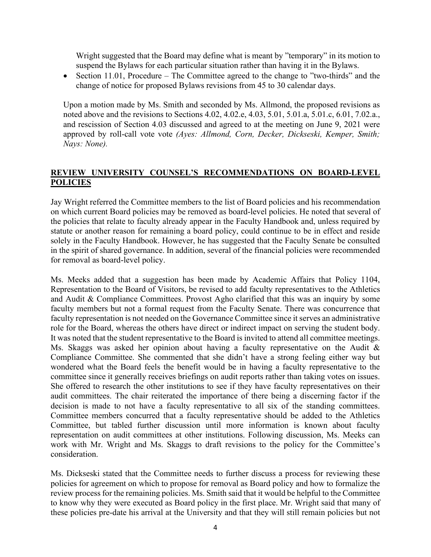Wright suggested that the Board may define what is meant by "temporary" in its motion to suspend the Bylaws for each particular situation rather than having it in the Bylaws.

• Section 11.01, Procedure – The Committee agreed to the change to "two-thirds" and the change of notice for proposed Bylaws revisions from 45 to 30 calendar days.

Upon a motion made by Ms. Smith and seconded by Ms. Allmond, the proposed revisions as noted above and the revisions to Sections 4.02, 4.02.e, 4.03, 5.01, 5.01.a, 5.01.c, 6.01, 7.02.a., and rescission of Section 4.03 discussed and agreed to at the meeting on June 9, 2021 were approved by roll-call vote vote *(Ayes: Allmond, Corn, Decker, Dickseski, Kemper, Smith; Nays: None).* 

## **REVIEW UNIVERSITY COUNSEL'S RECOMMENDATIONS ON BOARD-LEVEL POLICIES**

Jay Wright referred the Committee members to the list of Board policies and his recommendation on which current Board policies may be removed as board-level policies. He noted that several of the policies that relate to faculty already appear in the Faculty Handbook and, unless required by statute or another reason for remaining a board policy, could continue to be in effect and reside solely in the Faculty Handbook. However, he has suggested that the Faculty Senate be consulted in the spirit of shared governance. In addition, several of the financial policies were recommended for removal as board-level policy.

Ms. Meeks added that a suggestion has been made by Academic Affairs that Policy 1104, Representation to the Board of Visitors, be revised to add faculty representatives to the Athletics and Audit & Compliance Committees. Provost Agho clarified that this was an inquiry by some faculty members but not a formal request from the Faculty Senate. There was concurrence that faculty representation is not needed on the Governance Committee since it serves an administrative role for the Board, whereas the others have direct or indirect impact on serving the student body. It was noted that the student representative to the Board is invited to attend all committee meetings. Ms. Skaggs was asked her opinion about having a faculty representative on the Audit & Compliance Committee. She commented that she didn't have a strong feeling either way but wondered what the Board feels the benefit would be in having a faculty representative to the committee since it generally receives briefings on audit reports rather than taking votes on issues. She offered to research the other institutions to see if they have faculty representatives on their audit committees. The chair reiterated the importance of there being a discerning factor if the decision is made to not have a faculty representative to all six of the standing committees. Committee members concurred that a faculty representative should be added to the Athletics Committee, but tabled further discussion until more information is known about faculty representation on audit committees at other institutions. Following discussion, Ms. Meeks can work with Mr. Wright and Ms. Skaggs to draft revisions to the policy for the Committee's consideration.

Ms. Dickseski stated that the Committee needs to further discuss a process for reviewing these policies for agreement on which to propose for removal as Board policy and how to formalize the review process for the remaining policies. Ms. Smith said that it would be helpful to the Committee to know why they were executed as Board policy in the first place. Mr. Wright said that many of these policies pre-date his arrival at the University and that they will still remain policies but not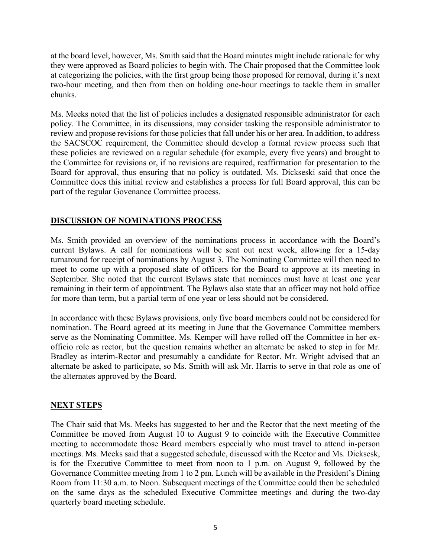at the board level, however, Ms. Smith said that the Board minutes might include rationale for why they were approved as Board policies to begin with. The Chair proposed that the Committee look at categorizing the policies, with the first group being those proposed for removal, during it's next two-hour meeting, and then from then on holding one-hour meetings to tackle them in smaller chunks.

Ms. Meeks noted that the list of policies includes a designated responsible administrator for each policy. The Committee, in its discussions, may consider tasking the responsible administrator to review and propose revisions for those policies that fall under his or her area. In addition, to address the SACSCOC requirement, the Committee should develop a formal review process such that these policies are reviewed on a regular schedule (for example, every five years) and brought to the Committee for revisions or, if no revisions are required, reaffirmation for presentation to the Board for approval, thus ensuring that no policy is outdated. Ms. Dickseski said that once the Committee does this initial review and establishes a process for full Board approval, this can be part of the regular Govenance Committee process.

## **DISCUSSION OF NOMINATIONS PROCESS**

Ms. Smith provided an overview of the nominations process in accordance with the Board's current Bylaws. A call for nominations will be sent out next week, allowing for a 15-day turnaround for receipt of nominations by August 3. The Nominating Committee will then need to meet to come up with a proposed slate of officers for the Board to approve at its meeting in September. She noted that the current Bylaws state that nominees must have at least one year remaining in their term of appointment. The Bylaws also state that an officer may not hold office for more than term, but a partial term of one year or less should not be considered.

In accordance with these Bylaws provisions, only five board members could not be considered for nomination. The Board agreed at its meeting in June that the Governance Committee members serve as the Nominating Committee. Ms. Kemper will have rolled off the Committee in her exofficio role as rector, but the question remains whether an alternate be asked to step in for Mr. Bradley as interim-Rector and presumably a candidate for Rector. Mr. Wright advised that an alternate be asked to participate, so Ms. Smith will ask Mr. Harris to serve in that role as one of the alternates approved by the Board.

## **NEXT STEPS**

The Chair said that Ms. Meeks has suggested to her and the Rector that the next meeting of the Committee be moved from August 10 to August 9 to coincide with the Executive Committee meeting to accommodate those Board members especially who must travel to attend in-person meetings. Ms. Meeks said that a suggested schedule, discussed with the Rector and Ms. Dicksesk, is for the Executive Committee to meet from noon to 1 p.m. on August 9, followed by the Governance Committee meeting from 1 to 2 pm. Lunch will be available in the President's Dining Room from 11:30 a.m. to Noon. Subsequent meetings of the Committee could then be scheduled on the same days as the scheduled Executive Committee meetings and during the two-day quarterly board meeting schedule.